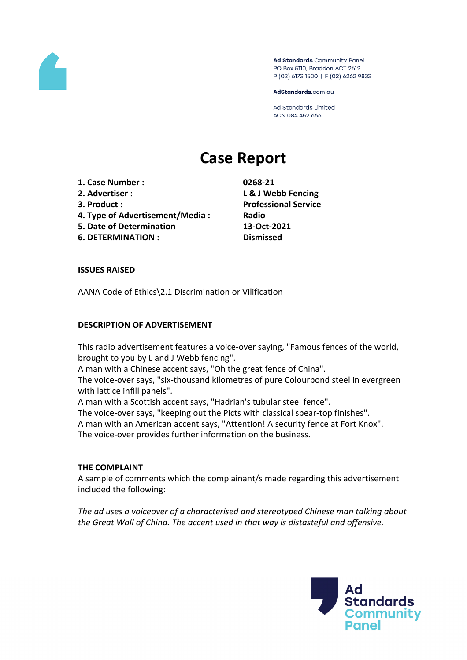

Ad Standards Community Panel PO Box 5110, Braddon ACT 2612 P (02) 6173 1500 | F (02) 6262 9833

AdStandards.com.au

**Ad Standards Limited** ACN 084 452 666

# **Case Report**

- **1. Case Number : 0268-21**
- 
- 
- **4. Type of Advertisement/Media : Radio**
- **5. Date of Determination 13-Oct-2021**
- **6. DETERMINATION : Dismissed**

**2. Advertiser : L & J Webb Fencing 3. Product : Professional Service**

#### **ISSUES RAISED**

AANA Code of Ethics\2.1 Discrimination or Vilification

#### **DESCRIPTION OF ADVERTISEMENT**

This radio advertisement features a voice-over saying, "Famous fences of the world, brought to you by L and J Webb fencing".

A man with a Chinese accent says, "Oh the great fence of China".

The voice-over says, "six-thousand kilometres of pure Colourbond steel in evergreen with lattice infill panels".

A man with a Scottish accent says, "Hadrian's tubular steel fence".

The voice-over says, "keeping out the Picts with classical spear-top finishes".

A man with an American accent says, "Attention! A security fence at Fort Knox". The voice-over provides further information on the business.

#### **THE COMPLAINT**

A sample of comments which the complainant/s made regarding this advertisement included the following:

*The ad uses a voiceover of a characterised and stereotyped Chinese man talking about the Great Wall of China. The accent used in that way is distasteful and offensive.*

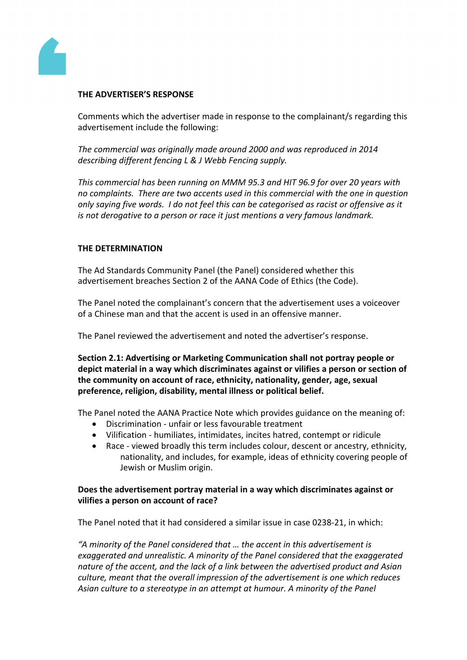

# **THE ADVERTISER'S RESPONSE**

Comments which the advertiser made in response to the complainant/s regarding this advertisement include the following:

*The commercial was originally made around 2000 and was reproduced in 2014 describing different fencing L & J Webb Fencing supply.*

*This commercial has been running on MMM 95.3 and HIT 96.9 for over 20 years with no complaints. There are two accents used in this commercial with the one in question only saying five words. I do not feel this can be categorised as racist or offensive as it is not derogative to a person or race it just mentions a very famous landmark.*

#### **THE DETERMINATION**

The Ad Standards Community Panel (the Panel) considered whether this advertisement breaches Section 2 of the AANA Code of Ethics (the Code).

The Panel noted the complainant's concern that the advertisement uses a voiceover of a Chinese man and that the accent is used in an offensive manner.

The Panel reviewed the advertisement and noted the advertiser's response.

**Section 2.1: Advertising or Marketing Communication shall not portray people or depict material in a way which discriminates against or vilifies a person or section of the community on account of race, ethnicity, nationality, gender, age, sexual preference, religion, disability, mental illness or political belief.**

The Panel noted the AANA Practice Note which provides guidance on the meaning of:

- Discrimination unfair or less favourable treatment
- Vilification humiliates, intimidates, incites hatred, contempt or ridicule
- Race viewed broadly this term includes colour, descent or ancestry, ethnicity, nationality, and includes, for example, ideas of ethnicity covering people of Jewish or Muslim origin.

# **Does the advertisement portray material in a way which discriminates against or vilifies a person on account of race?**

The Panel noted that it had considered a similar issue in case 0238-21, in which:

*"A minority of the Panel considered that … the accent in this advertisement is exaggerated and unrealistic. A minority of the Panel considered that the exaggerated nature of the accent, and the lack of a link between the advertised product and Asian culture, meant that the overall impression of the advertisement is one which reduces Asian culture to a stereotype in an attempt at humour. A minority of the Panel*